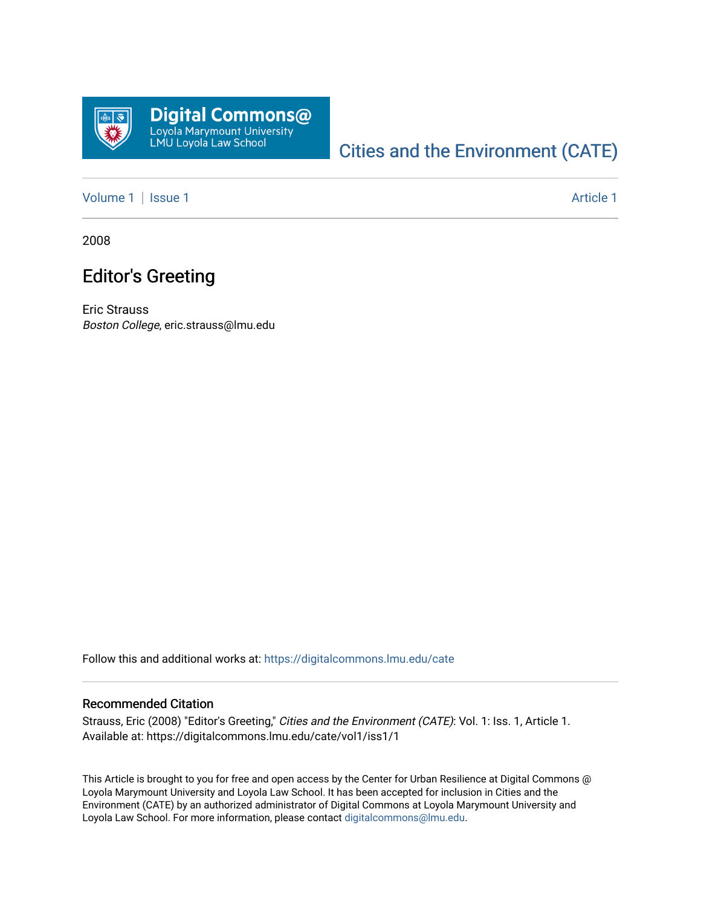

## [Cities and the Environment \(CATE\)](https://digitalcommons.lmu.edu/cate)

[Volume 1](https://digitalcommons.lmu.edu/cate/vol1) | [Issue 1](https://digitalcommons.lmu.edu/cate/vol1/iss1) Article 1

2008

## Editor's Greeting

Eric Strauss Boston College, eric.strauss@lmu.edu

Follow this and additional works at: [https://digitalcommons.lmu.edu/cate](https://digitalcommons.lmu.edu/cate?utm_source=digitalcommons.lmu.edu%2Fcate%2Fvol1%2Fiss1%2F1&utm_medium=PDF&utm_campaign=PDFCoverPages) 

## Recommended Citation

Strauss, Eric (2008) "Editor's Greeting," Cities and the Environment (CATE): Vol. 1: Iss. 1, Article 1. Available at: https://digitalcommons.lmu.edu/cate/vol1/iss1/1

This Article is brought to you for free and open access by the Center for Urban Resilience at Digital Commons @ Loyola Marymount University and Loyola Law School. It has been accepted for inclusion in Cities and the Environment (CATE) by an authorized administrator of Digital Commons at Loyola Marymount University and Loyola Law School. For more information, please contact [digitalcommons@lmu.edu](mailto:digitalcommons@lmu.edu).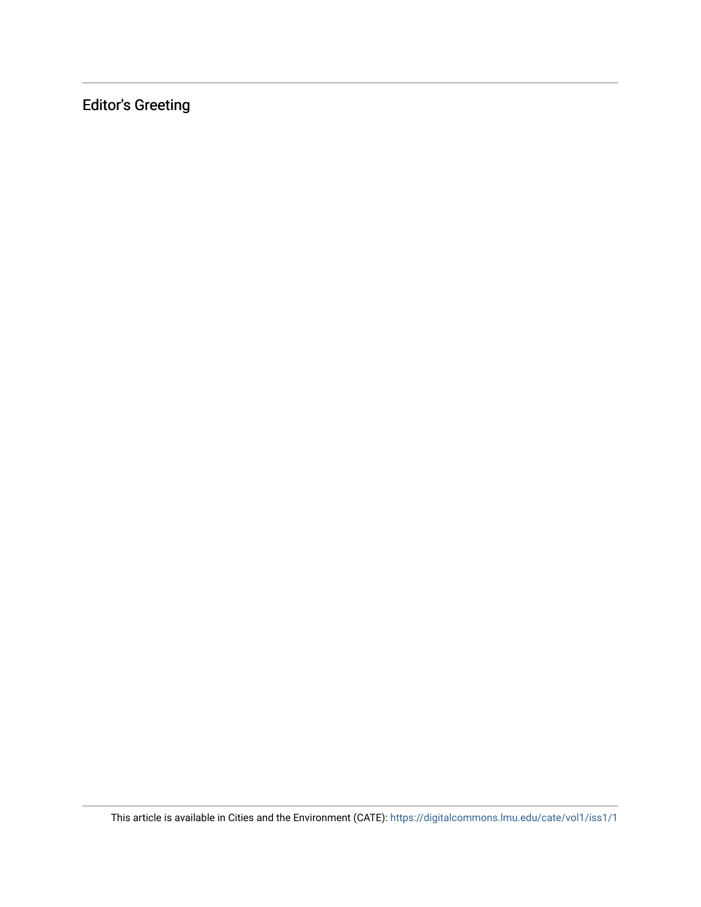Editor's Greeting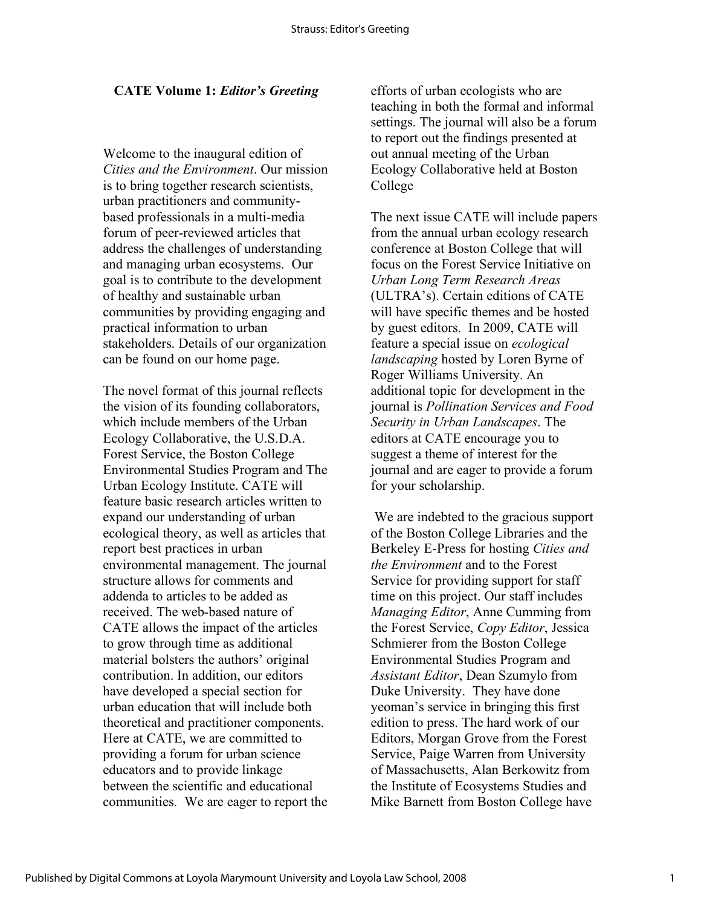## **CATE Volume 1:** *Editor's Greeting*

Welcome to the inaugural edition of *Cities and the Environment*. Our mission is to bring together research scientists, urban practitioners and communitybased professionals in a multi-media forum of peer-reviewed articles that address the challenges of understanding and managing urban ecosystems. Our goal is to contribute to the development of healthy and sustainable urban communities by providing engaging and practical information to urban stakeholders. Details of our organization can be found on our home page.

The novel format of this journal reflects the vision of its founding collaborators, which include members of the Urban Ecology Collaborative, the U.S.D.A. Forest Service, the Boston College Environmental Studies Program and The Urban Ecology Institute. CATE will feature basic research articles written to expand our understanding of urban ecological theory, as well as articles that report best practices in urban environmental management. The journal structure allows for comments and addenda to articles to be added as received. The web-based nature of CATE allows the impact of the articles to grow through time as additional material bolsters the authors' original contribution. In addition, our editors have developed a special section for urban education that will include both theoretical and practitioner components. Here at CATE, we are committed to providing a forum for urban science educators and to provide linkage between the scientific and educational communities. We are eager to report the efforts of urban ecologists who are teaching in both the formal and informal settings. The journal will also be a forum to report out the findings presented at out annual meeting of the Urban Ecology Collaborative held at Boston College

The next issue CATE will include papers from the annual urban ecology research conference at Boston College that will focus on the Forest Service Initiative on *Urban Long Term Research Areas* (ULTRA's). Certain editions of CATE will have specific themes and be hosted by guest editors. In 2009, CATE will feature a special issue on *ecological landscaping* hosted by Loren Byrne of Roger Williams University. An additional topic for development in the journal is *Pollination Services and Food Security in Urban Landscapes*. The editors at CATE encourage you to suggest a theme of interest for the journal and are eager to provide a forum for your scholarship.

 We are indebted to the gracious support of the Boston College Libraries and the Berkeley E-Press for hosting *Cities and the Environment* and to the Forest Service for providing support for staff time on this project. Our staff includes *Managing Editor*, Anne Cumming from the Forest Service, *Copy Editor*, Jessica Schmierer from the Boston College Environmental Studies Program and *Assistant Editor*, Dean Szumylo from Duke University. They have done yeoman's service in bringing this first edition to press. The hard work of our Editors, Morgan Grove from the Forest Service, Paige Warren from University of Massachusetts, Alan Berkowitz from the Institute of Ecosystems Studies and Mike Barnett from Boston College have